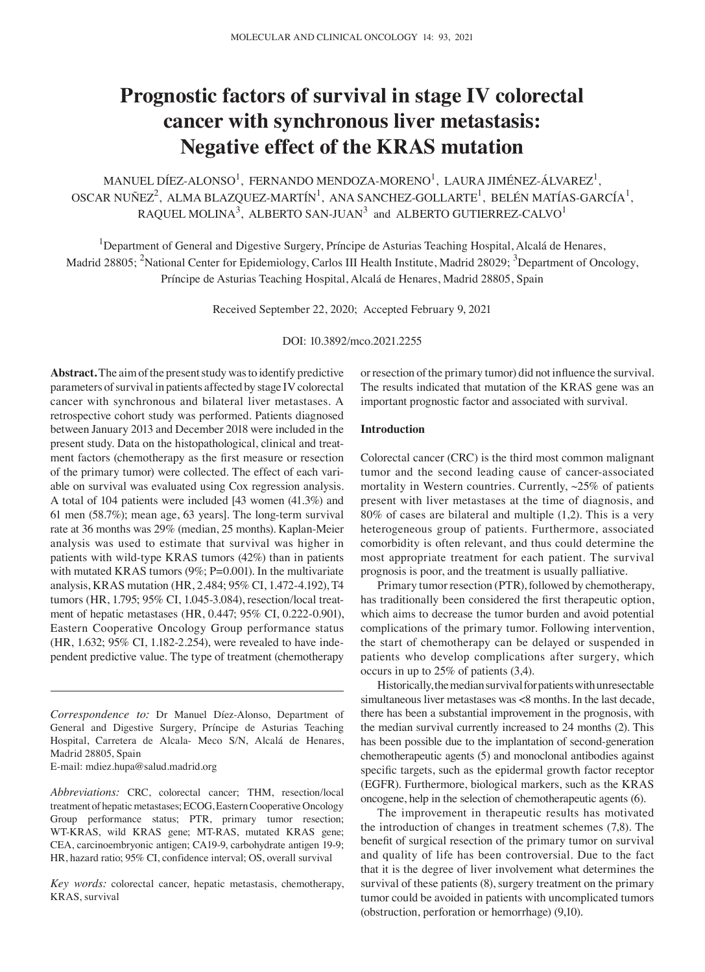# **Prognostic factors of survival in stage IV colorectal cancer with synchronous liver metastasis: Negative effect of the KRAS mutation**

MANUEL DÍEZ-ALONSO $^1$ , FERNANDO MENDOZA-MORENO $^1$ , LAURA JIMÉNEZ-ÁLVAREZ $^1$ , OSCAR NUÑEZ $^2$ , ALMA BLAZQUEZ-MARTÍN $^1$ , ANA SANCHEZ-GOLLARTE $^1$ , BELÉN MATÍAS-GARCÍA $^1$ , RAQUEL MOLINA<sup>3</sup>, ALBERTO SAN-JUAN<sup>3</sup> and ALBERTO GUTIERREZ-CALVO<sup>1</sup>

<sup>1</sup>Department of General and Digestive Surgery, Príncipe de Asturias Teaching Hospital, Alcalá de Henares, Madrid 28805; <sup>2</sup>National Center for Epidemiology, Carlos III Health Institute, Madrid 28029; <sup>3</sup>Department of Oncology, Príncipe de Asturias Teaching Hospital, Alcalá de Henares, Madrid 28805, Spain

Received September 22, 2020; Accepted February 9, 2021

DOI: 10.3892/mco.2021.2255

**Abstract.** The aim of the present study was to identify predictive parameters of survival in patients affected by stage IV colorectal cancer with synchronous and bilateral liver metastases. A retrospective cohort study was performed. Patients diagnosed between January 2013 and December 2018 were included in the present study. Data on the histopathological, clinical and treatment factors (chemotherapy as the first measure or resection of the primary tumor) were collected. The effect of each variable on survival was evaluated using Cox regression analysis. A total of 104 patients were included [43 women (41.3%) and 61 men (58.7%); mean age, 63 years]. The long‑term survival rate at 36 months was 29% (median, 25 months). Kaplan-Meier analysis was used to estimate that survival was higher in patients with wild-type KRAS tumors (42%) than in patients with mutated KRAS tumors (9%; P=0.001). In the multivariate analysis, KRAS mutation (HR, 2.484; 95% CI, 1.472‑4.192), T4 tumors (HR, 1.795; 95% CI, 1.045-3.084), resection/local treatment of hepatic metastases (HR, 0.447; 95% CI, 0.222-0.901), Eastern Cooperative Oncology Group performance status (HR, 1.632; 95% CI, 1.182-2.254), were revealed to have independent predictive value. The type of treatment (chemotherapy

E‑mail: mdiez.hupa@salud.madrid.org

*Key words:* colorectal cancer, hepatic metastasis, chemotherapy, KRAS, survival

or resection of the primary tumor) did not influence the survival. The results indicated that mutation of the KRAS gene was an important prognostic factor and associated with survival.

## **Introduction**

Colorectal cancer (CRC) is the third most common malignant tumor and the second leading cause of cancer-associated mortality in Western countries. Currently,  $\sim$ 25% of patients present with liver metastases at the time of diagnosis, and 80% of cases are bilateral and multiple (1,2). This is a very heterogeneous group of patients. Furthermore, associated comorbidity is often relevant, and thus could determine the most appropriate treatment for each patient. The survival prognosis is poor, and the treatment is usually palliative.

Primary tumor resection (PTR), followed by chemotherapy, has traditionally been considered the first therapeutic option, which aims to decrease the tumor burden and avoid potential complications of the primary tumor. Following intervention, the start of chemotherapy can be delayed or suspended in patients who develop complications after surgery, which occurs in up to 25% of patients (3,4).

Historically, the median survival for patients with unresectable simultaneous liver metastases was <8 months. In the last decade, there has been a substantial improvement in the prognosis, with the median survival currently increased to 24 months (2). This has been possible due to the implantation of second-generation chemotherapeutic agents (5) and monoclonal antibodies against specific targets, such as the epidermal growth factor receptor (EGFR). Furthermore, biological markers, such as the KRAS oncogene, help in the selection of chemotherapeutic agents (6).

The improvement in therapeutic results has motivated the introduction of changes in treatment schemes (7,8). The benefit of surgical resection of the primary tumor on survival and quality of life has been controversial. Due to the fact that it is the degree of liver involvement what determines the survival of these patients (8), surgery treatment on the primary tumor could be avoided in patients with uncomplicated tumors (obstruction, perforation or hemorrhage) (9,10).

*Correspondence to:* Dr Manuel Díez‑Alonso, Department of General and Digestive Surgery, Príncipe de Asturias Teaching Hospital, Carretera de Alcala- Meco S/N, Alcalá de Henares, Madrid 28805, Spain

*Abbreviations:* CRC, colorectal cancer; THM, resection/local treatment of hepatic metastases; ECOG, Eastern Cooperative Oncology Group performance status; PTR, primary tumor resection; WT‑KRAS, wild KRAS gene; MT‑RAS, mutated KRAS gene; CEA, carcinoembryonic antigen; CA19‑9, carbohydrate antigen 19‑9; HR, hazard ratio; 95% CI, confidence interval; OS, overall survival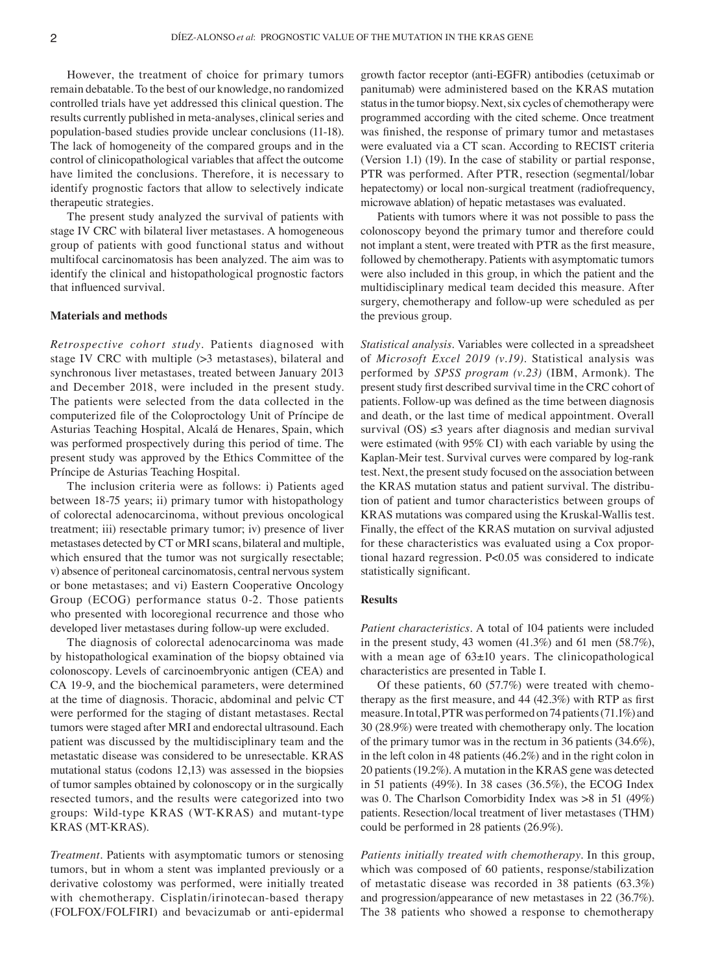However, the treatment of choice for primary tumors remain debatable. To the best of our knowledge, no randomized controlled trials have yet addressed this clinical question. The results currently published in meta‑analyses, clinical series and population‑based studies provide unclear conclusions (11‑18). The lack of homogeneity of the compared groups and in the control of clinicopathological variables that affect the outcome have limited the conclusions. Therefore, it is necessary to identify prognostic factors that allow to selectively indicate therapeutic strategies.

The present study analyzed the survival of patients with stage IV CRC with bilateral liver metastases. A homogeneous group of patients with good functional status and without multifocal carcinomatosis has been analyzed. The aim was to identify the clinical and histopathological prognostic factors that influenced survival.

## **Materials and methods**

*Retrospective cohort study.* Patients diagnosed with stage IV CRC with multiple (>3 metastases), bilateral and synchronous liver metastases, treated between January 2013 and December 2018, were included in the present study. The patients were selected from the data collected in the computerized file of the Coloproctology Unit of Príncipe de Asturias Teaching Hospital, Alcalá de Henares, Spain, which was performed prospectively during this period of time. The present study was approved by the Ethics Committee of the Príncipe de Asturias Teaching Hospital.

The inclusion criteria were as follows: i) Patients aged between 18‑75 years; ii) primary tumor with histopathology of colorectal adenocarcinoma, without previous oncological treatment; iii) resectable primary tumor; iv) presence of liver metastases detected by CT or MRI scans, bilateral and multiple, which ensured that the tumor was not surgically resectable; v) absence of peritoneal carcinomatosis, central nervous system or bone metastases; and vi) Eastern Cooperative Oncology Group (ECOG) performance status 0‑2. Those patients who presented with locoregional recurrence and those who developed liver metastases during follow‑up were excluded.

The diagnosis of colorectal adenocarcinoma was made by histopathological examination of the biopsy obtained via colonoscopy. Levels of carcinoembryonic antigen (CEA) and CA 19‑9, and the biochemical parameters, were determined at the time of diagnosis. Thoracic, abdominal and pelvic CT were performed for the staging of distant metastases. Rectal tumors were staged after MRI and endorectal ultrasound. Each patient was discussed by the multidisciplinary team and the metastatic disease was considered to be unresectable. KRAS mutational status (codons 12,13) was assessed in the biopsies of tumor samples obtained by colonoscopy or in the surgically resected tumors, and the results were categorized into two groups: Wild‑type KRAS (WT‑KRAS) and mutant‑type KRAS (MT‑KRAS).

*Treatment.* Patients with asymptomatic tumors or stenosing tumors, but in whom a stent was implanted previously or a derivative colostomy was performed, were initially treated with chemotherapy. Cisplatin/irinotecan-based therapy (FOLFOX/FOLFIRI) and bevacizumab or anti‑epidermal

growth factor receptor (anti‑EGFR) antibodies (cetuximab or panitumab) were administered based on the KRAS mutation status in the tumor biopsy. Next, six cycles of chemotherapy were programmed according with the cited scheme. Once treatment was finished, the response of primary tumor and metastases were evaluated via a CT scan. According to RECIST criteria (Version 1.1) (19). In the case of stability or partial response, PTR was performed. After PTR, resection (segmental/lobar hepatectomy) or local non-surgical treatment (radiofrequency, microwave ablation) of hepatic metastases was evaluated.

Patients with tumors where it was not possible to pass the colonoscopy beyond the primary tumor and therefore could not implant a stent, were treated with PTR as the first measure, followed by chemotherapy. Patients with asymptomatic tumors were also included in this group, in which the patient and the multidisciplinary medical team decided this measure. After surgery, chemotherapy and follow-up were scheduled as per the previous group.

*Statistical analysis.* Variables were collected in a spreadsheet of *Microsoft Excel 2019 (v.19)*. Statistical analysis was performed by *SPSS program (v.23)* (IBM, Armonk). The present study first described survival time in the CRC cohort of patients. Follow‑up was defined as the time between diagnosis and death, or the last time of medical appointment. Overall survival  $OS \le 3$  years after diagnosis and median survival were estimated (with 95% CI) with each variable by using the Kaplan-Meir test. Survival curves were compared by log-rank test. Next, the present study focused on the association between the KRAS mutation status and patient survival. The distribution of patient and tumor characteristics between groups of KRAS mutations was compared using the Kruskal-Wallis test. Finally, the effect of the KRAS mutation on survival adjusted for these characteristics was evaluated using a Cox proportional hazard regression. P<0.05 was considered to indicate statistically significant.

## **Results**

*Patient characteristics.* A total of 104 patients were included in the present study, 43 women (41.3%) and 61 men (58.7%), with a mean age of  $63\pm10$  years. The clinicopathological characteristics are presented in Table I.

Of these patients,  $60$  (57.7%) were treated with chemotherapy as the first measure, and 44 (42.3%) with RTP as first measure. In total, PTR was performed on 74 patients (71.1%) and 30 (28.9%) were treated with chemotherapy only. The location of the primary tumor was in the rectum in 36 patients (34.6%), in the left colon in 48 patients (46.2%) and in the right colon in 20 patients(19.2%). A mutation in the KRAS gene was detected in 51 patients (49%). In 38 cases (36.5%), the ECOG Index was 0. The Charlson Comorbidity Index was >8 in 51 (49%) patients. Resection/local treatment of liver metastases (THM) could be performed in 28 patients (26.9%).

*Patients initially treated with chemotherapy.* In this group, which was composed of 60 patients, response/stabilization of metastatic disease was recorded in 38 patients (63.3%) and progression/appearance of new metastases in 22 (36.7%). The 38 patients who showed a response to chemotherapy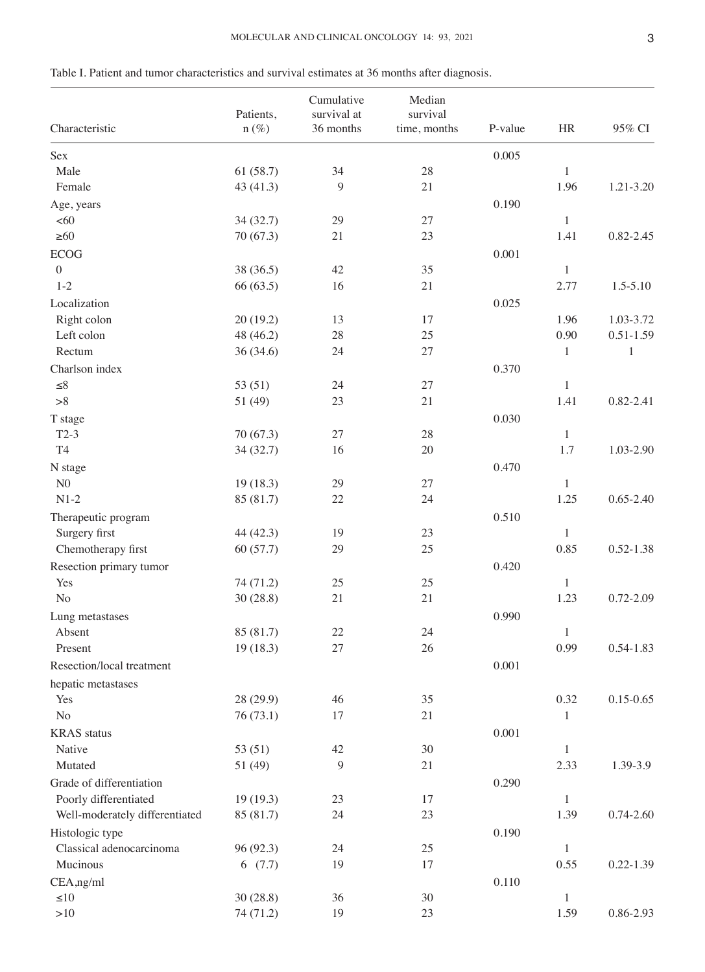| Characteristic                 | Patients,<br>$n (\%)$ | Cumulative<br>survival at<br>36 months | Median<br>survival<br>time, months | P-value | $\rm{HR}$    | 95% CI        |
|--------------------------------|-----------------------|----------------------------------------|------------------------------------|---------|--------------|---------------|
| Sex                            |                       |                                        |                                    | 0.005   |              |               |
| Male                           | 61(58.7)              | 34                                     | 28                                 |         | $\mathbf{1}$ |               |
| Female                         | 43 (41.3)             | 9                                      | 21                                 |         | 1.96         | 1.21-3.20     |
| Age, years                     |                       |                                        |                                    | 0.190   |              |               |
| <60                            | 34(32.7)              | 29                                     | 27                                 |         | $\mathbf{1}$ |               |
| $\geq 60$                      | 70 (67.3)             | 21                                     | 23                                 |         | 1.41         | $0.82 - 2.45$ |
| <b>ECOG</b>                    |                       |                                        |                                    | 0.001   |              |               |
| $\boldsymbol{0}$               | 38 (36.5)             | 42                                     | 35                                 |         | 1            |               |
| $1 - 2$                        | 66 (63.5)             | 16                                     | 21                                 |         | 2.77         | 1.5-5.10      |
| Localization                   |                       |                                        |                                    | 0.025   |              |               |
| Right colon                    | 20(19.2)              | 13                                     | 17                                 |         | 1.96         | 1.03-3.72     |
| Left colon                     | 48 (46.2)             | 28                                     | 25                                 |         | 0.90         | $0.51 - 1.59$ |
| Rectum                         | 36(34.6)              | 24                                     | 27                                 |         | 1            | 1             |
| Charlson index                 |                       |                                        |                                    | 0.370   |              |               |
| $\leq 8$                       | 53 $(51)$             | 24                                     | 27                                 |         | $\mathbf{1}$ |               |
| $>\!\!8$                       | 51 (49)               | 23                                     | 21                                 |         | 1.41         | 0.82-2.41     |
| T stage                        |                       |                                        |                                    | 0.030   |              |               |
| $T2-3$                         | 70(67.3)              | 27                                     | 28                                 |         | $\mathbf{1}$ |               |
| <b>T4</b>                      | 34(32.7)              | 16                                     | $20\,$                             |         | 1.7          | 1.03-2.90     |
| N stage                        |                       |                                        |                                    | 0.470   |              |               |
| N <sub>0</sub>                 | 19(18.3)              | 29                                     | 27                                 |         | 1            |               |
| $N1-2$                         | 85 (81.7)             | $22\,$                                 | 24                                 |         | 1.25         | $0.65 - 2.40$ |
| Therapeutic program            |                       |                                        |                                    | 0.510   |              |               |
| Surgery first                  | 44 (42.3)             | 19                                     | 23                                 |         | 1            |               |
| Chemotherapy first             | 60(57.7)              | 29                                     | 25                                 |         | 0.85         | $0.52 - 1.38$ |
| Resection primary tumor        |                       |                                        |                                    | 0.420   |              |               |
| Yes                            | 74 (71.2)             | 25                                     | 25                                 |         | 1            |               |
| N <sub>o</sub>                 | 30(28.8)              | 21                                     | 21                                 |         | 1.23         | $0.72 - 2.09$ |
| Lung metastases                |                       |                                        |                                    | 0.990   |              |               |
| Absent                         | 85 (81.7)             | 22                                     | 24                                 |         | $\mathbf{1}$ |               |
| Present                        | 19(18.3)              | 27                                     | 26                                 |         | 0.99         | $0.54 - 1.83$ |
| Resection/local treatment      |                       |                                        |                                    | 0.001   |              |               |
| hepatic metastases             |                       |                                        |                                    |         |              |               |
| Yes                            | 28 (29.9)             | 46                                     | 35                                 |         | 0.32         | $0.15 - 0.65$ |
| No                             | 76(73.1)              | 17                                     | 21                                 |         | 1            |               |
| <b>KRAS</b> status             |                       |                                        |                                    | 0.001   |              |               |
| Native                         | 53(51)                | 42                                     | 30                                 |         | $\mathbf{1}$ |               |
| Mutated                        | 51 (49)               | 9                                      | 21                                 |         | 2.33         | 1.39-3.9      |
| Grade of differentiation       |                       |                                        |                                    | 0.290   |              |               |
| Poorly differentiated          | 19(19.3)              | 23                                     | 17                                 |         | $\mathbf{1}$ |               |
| Well-moderately differentiated | 85 (81.7)             | 24                                     | 23                                 |         | 1.39         | $0.74 - 2.60$ |
| Histologic type                |                       |                                        |                                    | 0.190   |              |               |
| Classical adenocarcinoma       | 96 (92.3)             | 24                                     | 25                                 |         | $\mathbf{1}$ |               |
| Mucinous                       | 6(7.7)                | 19                                     | 17                                 |         | 0.55         | $0.22 - 1.39$ |
| CEA,ng/ml                      |                       |                                        |                                    | 0.110   |              |               |
| ${<}10$                        | 30(28.8)              | 36                                     | 30                                 |         | $\mathbf{1}$ |               |
| $>10$                          | 74 (71.2)             | 19                                     | 23                                 |         | 1.59         | 0.86-2.93     |

| Table I. Patient and tumor characteristics and survival estimates at 36 months after diagnosis. |  |
|-------------------------------------------------------------------------------------------------|--|
|-------------------------------------------------------------------------------------------------|--|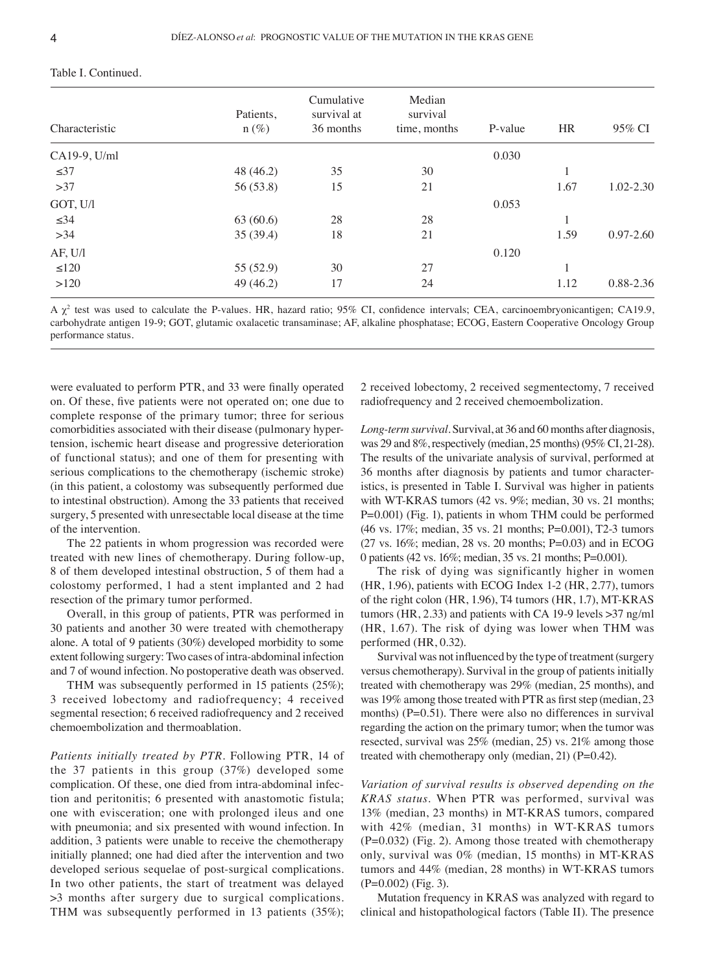| Characteristic | Patients,<br>$n(\%)$ | Cumulative<br>survival at<br>36 months | Median<br>survival<br>time, months | P-value | HR   | 95% CI        |
|----------------|----------------------|----------------------------------------|------------------------------------|---------|------|---------------|
| CA19-9, U/ml   |                      |                                        |                                    | 0.030   |      |               |
| $\leq 37$      | 48 (46.2)            | 35                                     | 30                                 |         |      |               |
| >37            | 56 (53.8)            | 15                                     | 21                                 |         | 1.67 | 1.02-2.30     |
| GOT, U/I       |                      |                                        |                                    | 0.053   |      |               |
| $\leq 34$      | 63(60.6)             | 28                                     | 28                                 |         |      |               |
| $>34$          | 35(39.4)             | 18                                     | 21                                 |         | 1.59 | $0.97 - 2.60$ |
| AF, U/l        |                      |                                        |                                    | 0.120   |      |               |
| $\leq 120$     | 55 (52.9)            | 30                                     | 27                                 |         |      |               |
| >120           | 49 (46.2)            | 17                                     | 24                                 |         | 1.12 | 0.88-2.36     |
|                |                      |                                        |                                    |         |      |               |

## Table I. Continued.

A  $\chi^2$  test was used to calculate the P-values. HR, hazard ratio; 95% CI, confidence intervals; CEA, carcinoembryonicantigen; CA19.9, carbohydrate antigen 19‑9; GOT, glutamic oxalacetic transaminase; AF, alkaline phosphatase; ECOG, Eastern Cooperative Oncology Group performance status.

were evaluated to perform PTR, and 33 were finally operated on. Of these, five patients were not operated on; one due to complete response of the primary tumor; three for serious comorbidities associated with their disease (pulmonary hypertension, ischemic heart disease and progressive deterioration of functional status); and one of them for presenting with serious complications to the chemotherapy (ischemic stroke) (in this patient, a colostomy was subsequently performed due to intestinal obstruction). Among the 33 patients that received surgery, 5 presented with unresectable local disease at the time of the intervention.

The 22 patients in whom progression was recorded were treated with new lines of chemotherapy. During follow‑up, 8 of them developed intestinal obstruction, 5 of them had a colostomy performed, 1 had a stent implanted and 2 had resection of the primary tumor performed.

Overall, in this group of patients, PTR was performed in 30 patients and another 30 were treated with chemotherapy alone. A total of 9 patients (30%) developed morbidity to some extent following surgery: Two cases of intra‑abdominal infection and 7 of wound infection. No postoperative death was observed.

THM was subsequently performed in 15 patients (25%); 3 received lobectomy and radiofrequency; 4 received segmental resection; 6 received radiofrequency and 2 received chemoembolization and thermoablation.

*Patients initially treated by PTR.* Following PTR, 14 of the 37 patients in this group (37%) developed some complication. Of these, one died from intra-abdominal infection and peritonitis; 6 presented with anastomotic fistula; one with evisceration; one with prolonged ileus and one with pneumonia; and six presented with wound infection. In addition, 3 patients were unable to receive the chemotherapy initially planned; one had died after the intervention and two developed serious sequelae of post-surgical complications. In two other patients, the start of treatment was delayed >3 months after surgery due to surgical complications. THM was subsequently performed in 13 patients (35%); 2 received lobectomy, 2 received segmentectomy, 7 received radiofrequency and 2 received chemoembolization.

*Long-term survival.* Survival, at 36 and 60 months after diagnosis, was 29 and 8%, respectively (median, 25 months) (95% CI, 21‑28). The results of the univariate analysis of survival, performed at 36 months after diagnosis by patients and tumor character‑ istics, is presented in Table I. Survival was higher in patients with WT-KRAS tumors (42 vs. 9%; median, 30 vs. 21 months; P=0.001) (Fig. 1), patients in whom THM could be performed (46 vs. 17%; median, 35 vs. 21 months; P=0.001), T2‑3 tumors (27 vs. 16%; median, 28 vs. 20 months; P=0.03) and in ECOG 0 patients (42 vs. 16%; median, 35 vs. 21 months; P=0.001).

The risk of dying was significantly higher in women (HR, 1.96), patients with ECOG Index 1‑2 (HR, 2.77), tumors of the right colon (HR, 1.96), T4 tumors (HR, 1.7), MT‑KRAS tumors (HR, 2.33) and patients with CA 19‑9 levels >37 ng/ml (HR, 1.67). The risk of dying was lower when THM was performed (HR, 0.32).

Survival was not influenced by the type of treatment (surgery versus chemotherapy). Survival in the group of patients initially treated with chemotherapy was 29% (median, 25 months), and was 19% among those treated with PTR as first step (median, 23 months) ( $P=0.51$ ). There were also no differences in survival regarding the action on the primary tumor; when the tumor was resected, survival was 25% (median, 25) vs. 21% among those treated with chemotherapy only (median, 21) (P=0.42).

*Variation of survival results is observed depending on the KRAS status.* When PTR was performed, survival was 13% (median, 23 months) in MT‑KRAS tumors, compared with 42% (median, 31 months) in WT‑KRAS tumors (P=0.032) (Fig. 2). Among those treated with chemotherapy only, survival was 0% (median, 15 months) in MT‑KRAS tumors and 44% (median, 28 months) in WT‑KRAS tumors (P=0.002) (Fig. 3).

Mutation frequency in KRAS was analyzed with regard to clinical and histopathological factors (Table II). The presence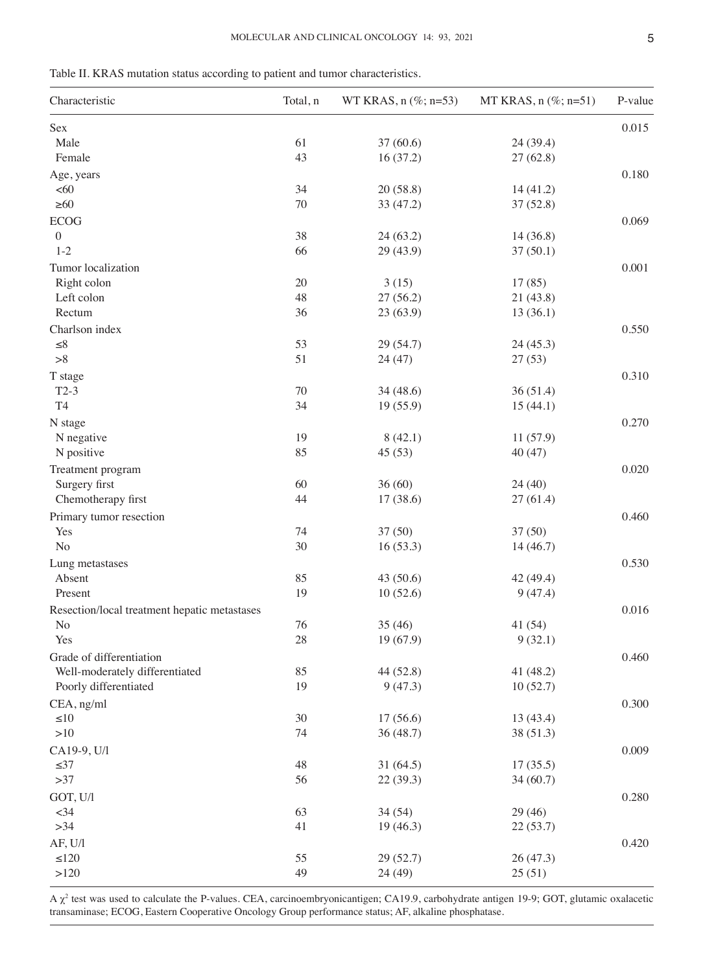| Table II. KRAS mutation status according to patient and tumor characteristics. |
|--------------------------------------------------------------------------------|
|--------------------------------------------------------------------------------|

| Characteristic                               | Total, n | WT KRAS, $n$ (%; n=53) | MT KRAS, $n$ (%; $n=51$ ) | P-value |
|----------------------------------------------|----------|------------------------|---------------------------|---------|
| Sex                                          |          |                        |                           | 0.015   |
| Male                                         | 61       | 37(60.6)               | 24 (39.4)                 |         |
| Female                                       | 43       | 16(37.2)               | 27(62.8)                  |         |
| Age, years                                   |          |                        |                           | 0.180   |
| <60                                          | 34       | 20(58.8)               | 14(41.2)                  |         |
| $\geq 60$                                    | 70       | 33 (47.2)              | 37(52.8)                  |         |
| <b>ECOG</b>                                  |          |                        |                           | 0.069   |
| $\boldsymbol{0}$                             | 38       | 24(63.2)               | 14(36.8)                  |         |
| $1 - 2$                                      | 66       | 29 (43.9)              | 37(50.1)                  |         |
| Tumor localization                           |          |                        |                           | 0.001   |
| Right colon                                  | 20       | 3(15)                  | 17(85)                    |         |
| Left colon                                   | 48       | 27(56.2)               | 21(43.8)                  |         |
| Rectum                                       | 36       | 23 (63.9)              | 13(36.1)                  |         |
| Charlson index                               |          |                        |                           | 0.550   |
| ${\leq}8$                                    | 53       | 29 (54.7)              | 24(45.3)                  |         |
| >8                                           | 51       | 24(47)                 | 27(53)                    |         |
|                                              |          |                        |                           |         |
| T stage                                      |          |                        |                           | 0.310   |
| $T2-3$<br>T <sub>4</sub>                     | 70<br>34 | 34(48.6)               | 36(51.4)                  |         |
|                                              |          | 19(55.9)               | 15(44.1)                  |         |
| N stage                                      |          |                        |                           | 0.270   |
| N negative                                   | 19       | 8(42.1)                | 11(57.9)                  |         |
| N positive                                   | 85       | 45(53)                 | 40 (47)                   |         |
| Treatment program                            |          |                        |                           | 0.020   |
| Surgery first                                | 60       | 36(60)                 | 24 (40)                   |         |
| Chemotherapy first                           | 44       | 17(38.6)               | 27(61.4)                  |         |
| Primary tumor resection                      |          |                        |                           | 0.460   |
| Yes                                          | 74       | 37(50)                 | 37(50)                    |         |
| N <sub>o</sub>                               | 30       | 16(53.3)               | 14(46.7)                  |         |
| Lung metastases                              |          |                        |                           | 0.530   |
| Absent                                       | 85       | 43 (50.6)              | 42 (49.4)                 |         |
| Present                                      | 19       | 10(52.6)               | 9(47.4)                   |         |
| Resection/local treatment hepatic metastases |          |                        |                           | 0.016   |
| N <sub>o</sub>                               | 76       | 35(46)                 | 41 (54)                   |         |
| Yes                                          | 28       | 19(67.9)               | 9(32.1)                   |         |
| Grade of differentiation                     |          |                        |                           | 0.460   |
| Well-moderately differentiated               | 85       | 44 (52.8)              | 41 (48.2)                 |         |
| Poorly differentiated                        | 19       | 9(47.3)                | 10(52.7)                  |         |
| CEA, ng/ml                                   |          |                        |                           | 0.300   |
| ${<}10$                                      | $30\,$   | 17(56.6)               | 13(43.4)                  |         |
| $>10$                                        | 74       | 36(48.7)               | 38 (51.3)                 |         |
|                                              |          |                        |                           |         |
| CA19-9, U/l<br>$\leq 37$                     | 48       |                        |                           | 0.009   |
| $>37$                                        |          | 31(64.5)               | 17(35.5)                  |         |
|                                              | 56       | 22(39.3)               | 34(60.7)                  |         |
| GOT, U/I                                     |          |                        |                           | 0.280   |
| $<$ 34                                       | 63       | 34(54)                 | 29(46)                    |         |
| >34                                          | 41       | 19(46.3)               | 22(53.7)                  |         |
| AF, U/1                                      |          |                        |                           | 0.420   |
| ${\leq}120$                                  | 55       | 29 (52.7)              | 26(47.3)                  |         |
| >120                                         | 49       | 24 (49)                | 25(51)                    |         |

 $A \chi^2$  test was used to calculate the P-values. CEA, carcinoembryonicantigen; CA19.9, carbohydrate antigen 19-9; GOT, glutamic oxalacetic transaminase; ECOG, Eastern Cooperative Oncology Group performance status; AF, alkaline phosphatase.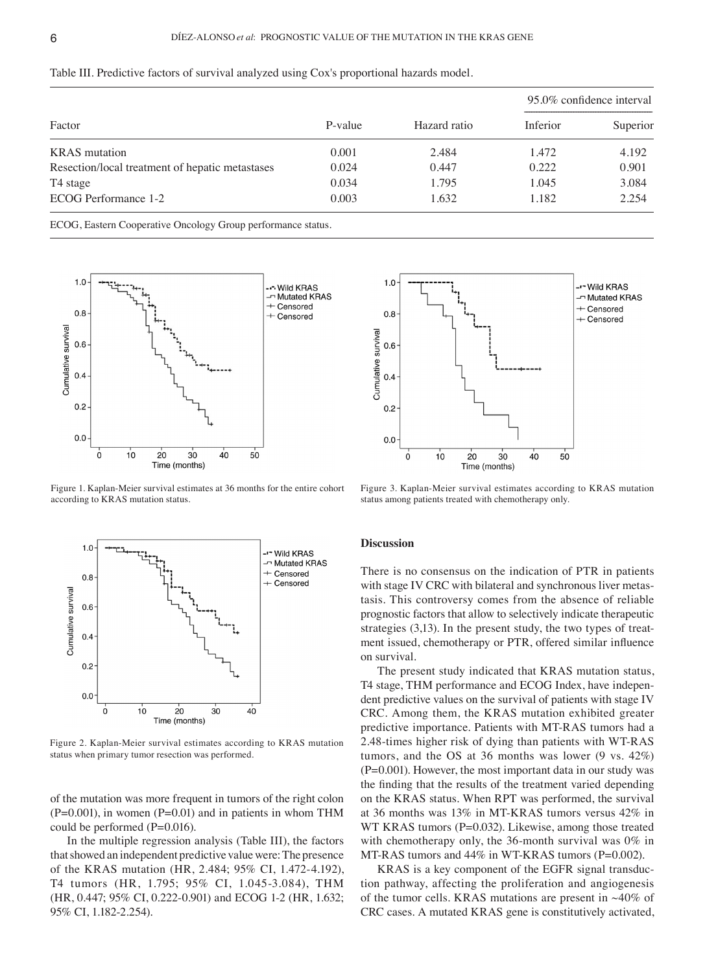|                                                 |         |              | 95.0% confidence interval |          |
|-------------------------------------------------|---------|--------------|---------------------------|----------|
| Factor                                          | P-value | Hazard ratio | Inferior                  | Superior |
| <b>KRAS</b> mutation                            | 0.001   | 2.484        | 1.472                     | 4.192    |
| Resection/local treatment of hepatic metastases | 0.024   | 0.447        | 0.222                     | 0.901    |
| T4 stage                                        | 0.034   | 1.795        | 1.045                     | 3.084    |
| <b>ECOG Performance 1-2</b>                     | 0.003   | 1.632        | 1.182                     | 2.254    |

Table III. Predictive factors of survival analyzed using Cox's proportional hazards model.

ECOG, Eastern Cooperative Oncology Group performance status.



Figure 1. Kaplan-Meier survival estimates at 36 months for the entire cohort according to KRAS mutation status.



Figure 2. Kaplan‑Meier survival estimates according to KRAS mutation status when primary tumor resection was performed.

of the mutation was more frequent in tumors of the right colon  $(P=0.001)$ , in women  $(P=0.01)$  and in patients in whom THM could be performed (P=0.016).

In the multiple regression analysis (Table III), the factors that showed an independent predictive value were: The presence of the KRAS mutation (HR, 2.484; 95% CI, 1.472‑4.192), T4 tumors (HR, 1.795; 95% CI, 1.045‑3.084), THM (HR, 0.447; 95% CI, 0.222-0.901) and ECOG 1-2 (HR, 1.632; 95% CI, 1.182‑2.254).



Figure 3. Kaplan‑Meier survival estimates according to KRAS mutation status among patients treated with chemotherapy only.

#### **Discussion**

There is no consensus on the indication of PTR in patients with stage IV CRC with bilateral and synchronous liver metastasis. This controversy comes from the absence of reliable prognostic factors that allow to selectively indicate therapeutic strategies  $(3,13)$ . In the present study, the two types of treatment issued, chemotherapy or PTR, offered similar influence on survival.

The present study indicated that KRAS mutation status, T4 stage, THM performance and ECOG Index, have independent predictive values on the survival of patients with stage IV CRC. Among them, the KRAS mutation exhibited greater predictive importance. Patients with MT‑RAS tumors had a 2.48‑times higher risk of dying than patients with WT‑RAS tumors, and the OS at 36 months was lower (9 vs. 42%)  $(P=0.001)$ . However, the most important data in our study was the finding that the results of the treatment varied depending on the KRAS status. When RPT was performed, the survival at 36 months was 13% in MT‑KRAS tumors versus 42% in WT KRAS tumors (P=0.032). Likewise, among those treated with chemotherapy only, the 36-month survival was 0% in MT-RAS tumors and 44% in WT-KRAS tumors (P=0.002).

KRAS is a key component of the EGFR signal transduction pathway, affecting the proliferation and angiogenesis of the tumor cells. KRAS mutations are present in ~40% of CRC cases. A mutated KRAS gene is constitutively activated,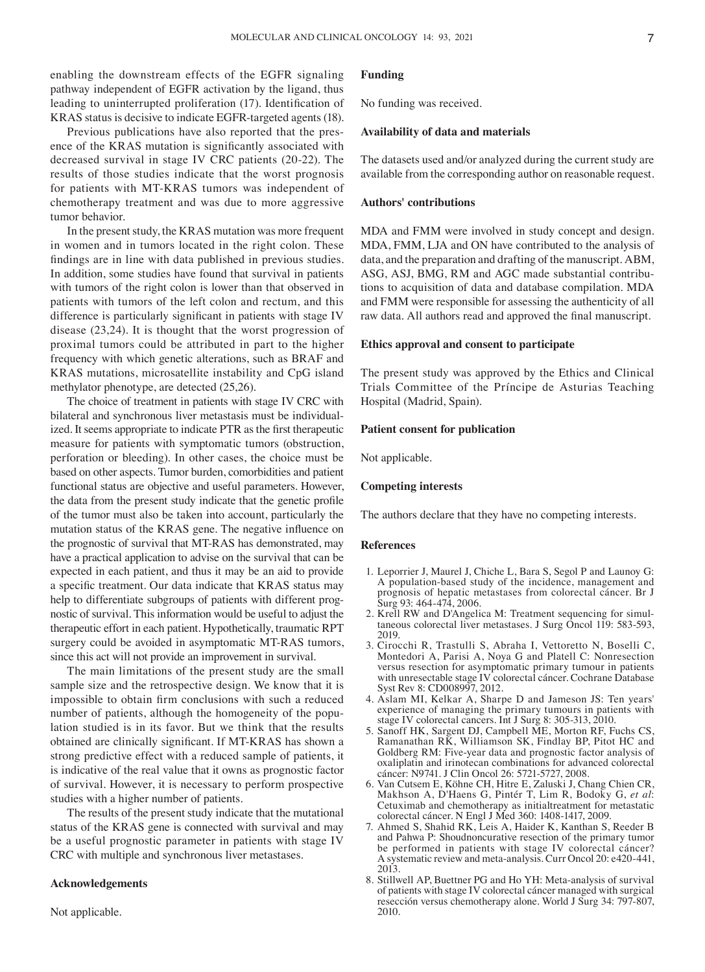enabling the downstream effects of the EGFR signaling pathway independent of EGFR activation by the ligand, thus leading to uninterrupted proliferation (17). Identification of KRAS status is decisive to indicate EGFR-targeted agents (18).

Previous publications have also reported that the presence of the KRAS mutation is significantly associated with decreased survival in stage IV CRC patients (20‑22). The results of those studies indicate that the worst prognosis for patients with MT‑KRAS tumors was independent of chemotherapy treatment and was due to more aggressive tumor behavior.

In the present study, the KRAS mutation was more frequent in women and in tumors located in the right colon. These findings are in line with data published in previous studies. In addition, some studies have found that survival in patients with tumors of the right colon is lower than that observed in patients with tumors of the left colon and rectum, and this difference is particularly significant in patients with stage IV disease (23,24). It is thought that the worst progression of proximal tumors could be attributed in part to the higher frequency with which genetic alterations, such as BRAF and KRAS mutations, microsatellite instability and CpG island methylator phenotype, are detected (25,26).

The choice of treatment in patients with stage IV CRC with bilateral and synchronous liver metastasis must be individualized. It seems appropriate to indicate PTR as the first therapeutic measure for patients with symptomatic tumors (obstruction, perforation or bleeding). In other cases, the choice must be based on other aspects. Tumor burden, comorbidities and patient functional status are objective and useful parameters. However, the data from the present study indicate that the genetic profile of the tumor must also be taken into account, particularly the mutation status of the KRAS gene. The negative influence on the prognostic of survival that MT‑RAS has demonstrated, may have a practical application to advise on the survival that can be expected in each patient, and thus it may be an aid to provide a specific treatment. Our data indicate that KRAS status may help to differentiate subgroups of patients with different prognostic of survival. This information would be useful to adjust the therapeutic effort in each patient. Hypothetically, traumatic RPT surgery could be avoided in asymptomatic MT‑RAS tumors, since this act will not provide an improvement in survival.

The main limitations of the present study are the small sample size and the retrospective design. We know that it is impossible to obtain firm conclusions with such a reduced number of patients, although the homogeneity of the population studied is in its favor. But we think that the results obtained are clinically significant. If MT‑KRAS has shown a strong predictive effect with a reduced sample of patients, it is indicative of the real value that it owns as prognostic factor of survival. However, it is necessary to perform prospective studies with a higher number of patients.

The results of the present study indicate that the mutational status of the KRAS gene is connected with survival and may be a useful prognostic parameter in patients with stage IV CRC with multiple and synchronous liver metastases.

## **Acknowledgements**

Not applicable.

# **Funding**

No funding was received.

#### **Availability of data and materials**

The datasets used and/or analyzed during the current study are available from the corresponding author on reasonable request.

## **Authors' contributions**

MDA and FMM were involved in study concept and design. MDA, FMM, LJA and ON have contributed to the analysis of data, and the preparation and drafting of the manuscript. ABM, ASG, ASJ, BMG, RM and AGC made substantial contributions to acquisition of data and database compilation. MDA and FMM were responsible for assessing the authenticity of all raw data. All authors read and approved the final manuscript.

## **Ethics approval and consent to participate**

The present study was approved by the Ethics and Clinical Trials Committee of the Príncipe de Asturias Teaching Hospital (Madrid, Spain).

## **Patient consent for publication**

Not applicable.

## **Competing interests**

The authors declare that they have no competing interests.

## **References**

- 1. Leporrier J, Maurel J, Chiche L, Bara S, Segol P and Launoy G: A population‑based study of the incidence, management and prognosis of hepatic metastases from colorectal cáncer. Br J Surg 93: 464‑474, 2006.
- 2. Krell RW and D'Angelica M: Treatment sequencing for simultaneous colorectal liver metastases. J Surg Oncol 119: 583-593, 2019.
- 3. Cirocchi R, Trastulli S, Abraha I, Vettoretto N, Boselli C, Montedori A, Parisi A, Noya G and Platell C: Nonresection versus resection for asymptomatic primary tumour in patients with unresectable stage IV colorectal cáncer. Cochrane Database Syst Rev 8: CD008997, 2012.
- 4. Aslam MI, Kelkar A, Sharpe D and Jameson JS: Ten years' experience of managing the primary tumours in patients with stage IV colorectal cancers. Int J Surg 8: 305‑313, 2010.
- 5. Sanoff HK, Sargent DJ, Campbell ME, Morton RF, Fuchs CS, Ramanathan RK, Williamson SK, Findlay BP, Pitot HC and Goldberg RM: Five‑year data and prognostic factor analysis of oxaliplatin and irinotecan combinations for advanced colorectal cáncer: N9741. J Clin Oncol 26: 5721‑5727, 2008.
- 6. Van Cutsem E, Köhne CH, Hitre E, Zaluski J, Chang Chien CR, Makhson A, D'Haens G, Pintér T, Lim R, Bodoky G, *et al*: Cetuximab and chemotherapy as initialtreatment for metastatic colorectal cáncer. N Engl J Med 360: 1408‑1417, 2009.
- 7. Ahmed S, Shahid RK, Leis A, Haider K, Kanthan S, Reeder B and Pahwa P: Shoudnoncurative resection of the primary tumor be performed in patients with stage IV colorectal cáncer? A systematic review and meta‑analysis. Curr Oncol 20: e420‑441, 2013.
- 8. Stillwell AP, Buettner PG and Ho YH: Meta‑analysis of survival of patients with stage IV colorectal cáncer managed with surgical resección versus chemotherapy alone. World J Surg 34: 797‑807, 2010.